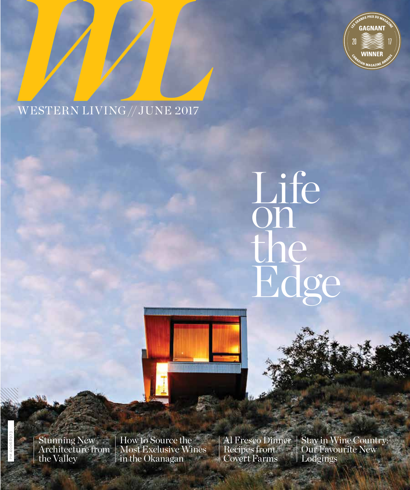

# WESTERN LIVING // JUNE 2017

# Life on the Edge



Stunning New Architecture from the Valley

PM 40068973

How to Source the Most Exclusive Wines in the Okanagan

Al Fresco Dinner Recipes from Covert Farms

Stay in Wine Country: Our Favourite New Lodgings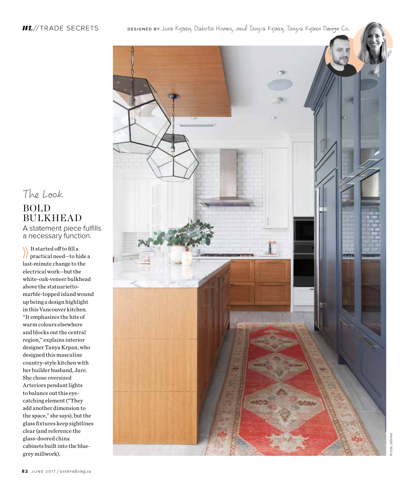### *WL*//TRADE SECRETS

реѕіснер вү Ј*иге Күрап,* Dakota Homes*, aud Тануа Күрап, Тануа Күрап Design Co*.

The Look BOLD BULKHEAD

A statement piece fulfills a necessary function.

It started off to fill a practical need—to hide a last-minute change to the electrical work—but the white-oak-veneer bulkhead above the statuariettomarble-topped island wound up being a design highlight in this Vancouver kitchen. "It emphasizes the hits of warm colours elsewhere and blocks out the central region," explains interior designer Tanya Krpan, who designed this masculine country-style kitchen with her builder husband, Jure. She chose oversized Arteriors pendant lights to balance out this eyecatching element ("They add another dimension to the space," she says), but the glass fixtures keep sightlines clear (and reference the glass-doored china cabinets built into the bluegrey millwork).